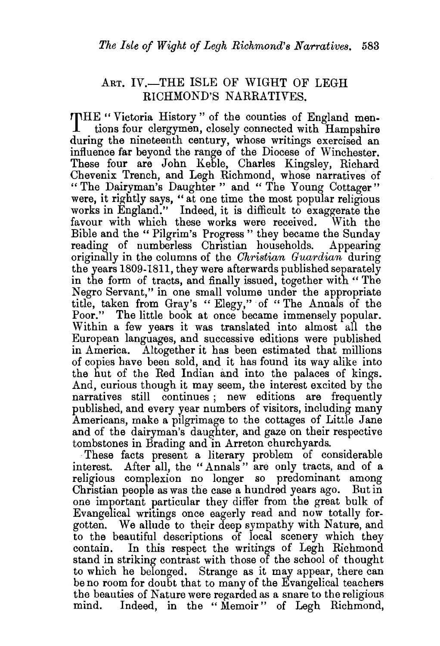## ART. IV.-THE ISLE OF WIGHT OF LEGH RICHMOND'S NARRATIVES.

**rrHE** " Victoria History " of the counties of England mentions four clergymen, closely connected with Hampshire during the nineteenth century, whose writings exercised an influence far beyond the range of the Diocese of Winchester. These four are John Keble, Charles Kingsley, Richard Chevenix Trench, and Legh Richmond, whose narratives of " The Dairyman's Daughter " and " The Young Cottager" were, it rightly says, " at one time the most popular religious works in England." Indeed, it is difficult to exaggerate the favour with which these works were received. With the Bible and the "Pilgrim's Progress" they became the Sunday reading of numberless Christian households. Appearing originally in the columns of the *Christian Guardian* during the years 1809-1811, they were afterwards published separately in the form of tracts, and finally issued, together with " The Negro Servant," in one small volume under the appropriate title, taken from Gray's " Elegy," of "The Annals of the Poor." The little book at once became immensely popular. Within a few years it was translated into almost all the European languages, and successive editions were published in America. Altogether it has been estimated that millions of copies have been sold, and it has found its way alike into the hut of the Red Indian and into the palaces of kings. And, curious though it may seem, the interest excited by the narratives still continues ; new editions are frequently published, and every year numbers of visitors, including many Americans, make a pilgrimage to the cottages of Little Jane and of the dairyman's daughter, and gaze on their respective tombstones in Brading and in Arreton churchyards.

·These facts present a literary problem of considerable interest. After all, the "Annals " are only tracts, and of a religious complexion no longer so predominant among Christian people as was the case a hundred years ago. But in one important particular they differ from the great bulk of Evangelical writings once eagerly read and now totally forgotten. We allude to their deep sympathy with Nature, and to the beautiful descriptions of local scenery which they contain. In this respect the writings of Legh Richmond stand in striking contrast with those of the school of thought to which he belonged. Strange as it may appear, there can be no room for doubt that to many of the Evangelical teachers the beauties of Nature were regarded as a snare to the religious mind. Indeed, in the " Memoir" of Legh Richmond,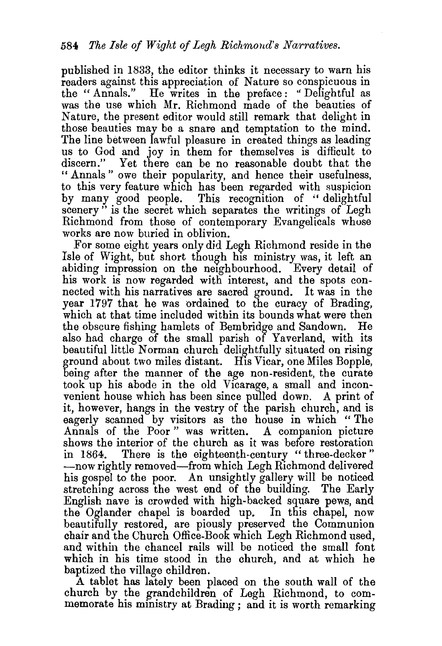published in 1833, the editor thinks it necessary to warn his readers against this appreciation of Nature so conspicuous in the "Annals." He writes in the preface: "Delightful as was the use which Mr. Richmond made of the beauties of Nature, the present editor would still remark that delight in those beauties may be a snare and temptation to the mind. The line between lawful pleasure in created things as leading us to God and joy in them for themselves is difficult to discern." Yet there can be no reasonable doubt that the " Annals " owe their popularity, and hence their usefulness, to this very feature which has been regarded with suspicion by many good people. This recognition of " delightful scenery" is the secret which separates the writings of Legh Richmond from those of contemporary Evangelicals whose works are now buried in oblivion.

For some eight years only did Legh Richmond reside in the Isle of Wight, but short though his ministry was, it left an abiding impression on the neighbourhood. Every detail of his work is now regarded with interest, and the spots connected with his narratives are sacred ground. It was in the year 1797 that he was ordained to the curacy of Brading, which at that time included within its bounds what were then the obscure fishing hamlets of Bembridge and Sandown. He also had charge of the small parish of Yaverland, with its beautiful little Norman church delightfully situated on rising ground about two miles distant. His Vicar, one Miles Bopple, being after the manner of the age non-resident, the curate took up his abode in the old Vicarage, a small and inconvenient house which has been since pulled down. A print of it, however, hangs in the vestry of the parish church, and is eagerly scanned by visitors as the house in which " The Annals of the Poor " was written. *A* companion picture shows the interior of the church as it was before restoration<br>in 1864. There is the eighteenth-century "three-decker" There is the eighteenth-century " three-decker" -now rightly removed-from which Legh Richmond delivered his gospel to the poor. An unsightly gallery will be noticed stretching across the west end of the building. The Early English nave is crowded with high-backed square pews, and the Oglander chapel is boarded up. In this chapel, now beautifully restored, are piously preserved the Communion chair and the Church Office-Book which Legh Richmond used, and within the chancel rails will be noticed the small font which in his time stood in the church, and at which he baptized the village children.

A tablet has lately been placed on the south wall of the church by the grandchildren of Legh Richmond, to commemorate his ministry at Brading ; and it is worth remarking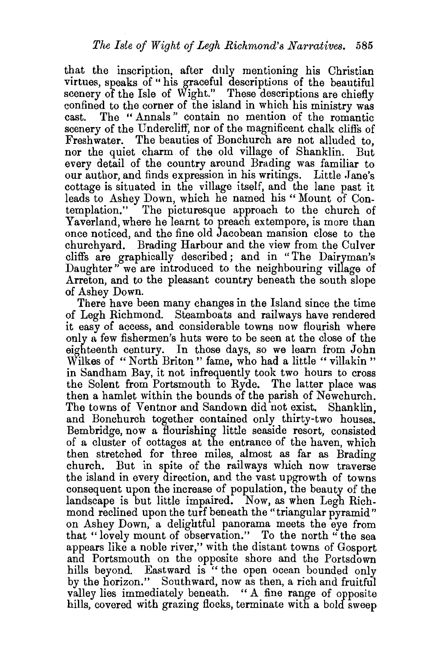that the inscription, after duly mentioning his Christian virtues, speaks of " his graceful descriptions of the beautiful scenery of the Isle of Wight." These descriptions are chiefly confined to the corner of the island in which his ministry was<br>cast. The "Annals" contain no mention of the romantic The "Annals" contain no mention of the romantic scenery of the Undercliff, nor of the magnificent chalk cliffs of Freshwater. The beauties of Bonchurch are not alluded to, nor the quiet charm of the old village of Shanklin. But every detail of the country around Brading was familiar to our author, and finds expression in his writings. Little Jane's cottage is situated in the village itself, and the lane past it leads to Ashey Down, which he named his "Mount of Contemplation." The picturesque approach to the church of Yaverland, where he learnt to preach extempore, is more than once noticed, and the fine old Jacobean mansion close to the churchyard. Brading Harbour and the view from the Culver cliffs are graphically described; and in "The Dairyman's Daughter" we are introduced to the neighbouring village of Arreton, and to the pleasant country beneath the south slope of Ashey Down.

There have been many changes in the Island since the time of Legh Richmond. Steamboats and railways have rendered it easy of access, and considerable towns now flourish where only n few fishermen's huts were to be seen at the close of the eighteenth century. In those days, so we learn from John Wilkes of "North Briton" fame, who had a little "villakin" in 8andham Bay, it not infrequently took two hours to cross the Solent from Portsmouth to Ryde. The latter place was then a hamlet within the bounds of the parish of Newchurch. The towns of Ventnor and Sandown did not exist. Shanklin, and Bonchurch together contained only thirty-two houses. Bembridge, now a flourishing little seaside resort, consisted of a cluster of cottages at the entrance of the haven, which then stretched for three miles, almost as far as Brading church. But in spite of the railways which now traverse the island in every direction, and the vast upgrowth of towns consequent upon the increase of population, the beauty of the landscape is but little impaired. Now, as when Legh Richmond reclined upon the turf beneath the "triangular pyramid" on Ashey Down, a delightful panorama meets the eye from that "lovely mount of observation." To the north "the sea appears like a noble river," with the distant towns of Gosport and Portsmouth on the opposite shore and the Portsdown hills beyond. Eastward is " the open ocean bounded only by the horizon." Southward, now as then, a rich and fruitful valley lies immediately beneath. " A fine range of opposite hills, covered with grazing flocks, terminate with a bold sweep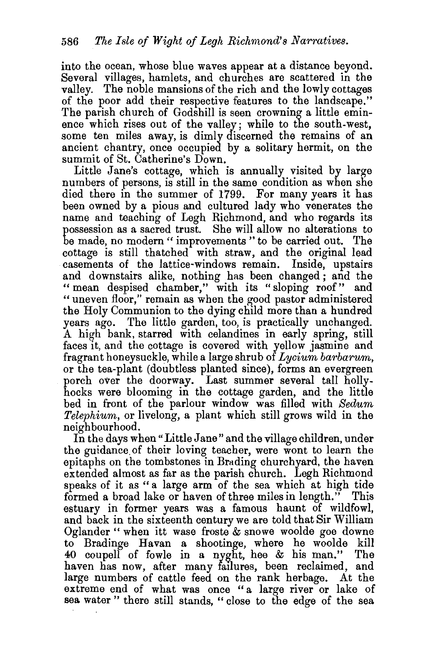into the ocean, whose blue waves appear at a distance beyond. Several villages, hamlets, and churches are scattered in the valley. The noble mansions of the rich and the lowly cottages of the poor add their respective features to the landscape." The parish church of Godshill is seen crowning a little eminence which rises out of the valley; while to the south-west, some ten miles away, is dimly discerned the remains of an ancient chantry, once occupied by a solitary hermit, on the summit of St. Catherine's Down.

Little Jane's cottage, which is annually visited by large numbers of persons, is still in the same condition as when she died there in the summer of 1799. For many years it has been owned by a pious and cultured lady who venerates the name and teaching of Legh Richmond, and who regards its possession as a sacred trust. She will allow no alterations to be made, no modern " improvements " to be carried out. The cottage is still thatched with straw, and the original lead casements of the lattice-windows remain. Inside, upstairs and downstairs alike, nothing has been changed; and the " mean despised chamber," with its "sloping roof" and "uneven floor," remain as when the good pastor administered the Holy Communion to the dying child more than a hundred years ago. The little garden, too, is practically unchanged. A high bank, starred with celandines in early spring, still faces it, and the cottage is covered with yellow jasmine and fragrant honeysuckle, while a large shrub of *Lycium barbarum,*  or the tea-plant (doubtless planted since), forms an evergreen porch over the doorway. Last summer several tall hollyhocks were blooming in the cottage garden, and the little bed in front of the parlour window was filled with *Sedum Telephium,* or livelong, a plant which still grows wild in the neighbourhood.

In the days when "Little Jane" and the village children, under the guidance. of their loving teacher, were wont to learn the epitaphs on the tombstones in Brading churchyard, the haven extended almost as far as the parish church. Legh Richmond speaks of it as "a large arm of the sea which at high tide formed a broad lake or haven of three miles in length." This estuary in former years was a famous haunt of wildfowl, and back in the sixteenth century we are told that Sir William Oglander " when itt wase froste & snowe woolde goe downe to Bradinge Havan a shootinge, where he woolde kill 40 coupell of fowle in a nyght, hee  $\&$  his man." The haven has now, after many failures, been reclaimed, and large numbers of cattle feed on the rank herbage. At the extreme end of what was once "a large river or lake of sea water " there still stands, " close to the edge of the sea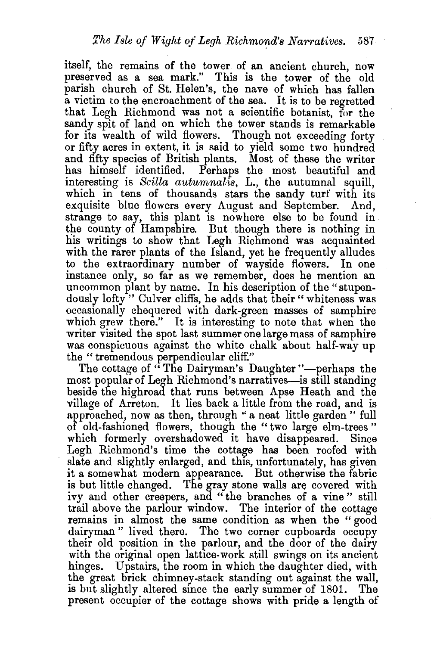itself, the remains of the tower of an ancient church, now preserved as a sea mark." This is the tower of the old parish church of St. Helen's, the nave of which has fallen a victim to the encroachment of the sea. It is to be regretted that Legh Richmond was not a scientific botanist, for the sandy spit of land on which the tower stands is remarkable for its wealth of wild flowers. Though not exceeding forty or fifty acres in extent, it is said to yield some two hundred and fifty species of British plants. Most of these the writer has himself identified. Perhaps the most beautiful and interesting is *Scilla autumnalis,* L., the autumnal squill, which in tens of thousands stars the sandy turf with its exquisite blue flowers every August and September. And, strange to say, this plant is nowhere else to be found in the county of Hampshire. But though there is nothing in his writings to show that Legh Richmond was acquainted with the rarer plants of the Island, yet he frequently alludes to the extraordinary number of wayside flowers. In one instance only, so far as we remember, does he mention an uncommon plant by name. In his description of the "stupendously lofty" Culver cliffs, he adds that their" whiteness was occasionally chequered with dark-green masses of samphire which grew there." It is interesting to note that when the writer visited the spot last summer one large mass of samphire was conspicuous against the white chalk about half-way up the " tremendous perpendicular cliff."

The cottage of "The Dairyman's Daughter"—perhaps the most popular of Legh Richmond's narratives-is still standing beside the highroad that runs between Apse Heath and the village of Arreton. It lies back a little from the road, and is approached, now as then, through " a neat little garden " full of old-fashioned flowers, though the "two large elm-trees " which formerly overshadowed it have disappeared. Since Legh Richmond's time the cottage has been roofed with slate and slightly enlarged, and this, unfortunately, has given it a somewhat modern appearance. But otherwise the fabric is but little changed. The gray stone walls are covered with ivy and other creepers, and " the branches of a vine " still trail above the parlour window. The interior of the cottage remains in almost the same condition as when the "good dairyman " lived there. The two corner cupboards occupy their old position in the parlour, and the door of the dairy with the original open lattice-work still swings on its ancient hinges. Upstairs, the room in which the daughter died, with the great brick chimney-stack standing out against the wall, is but slightly altered since the early summer of 1801. The present occupier of the cottage shows with pride a length of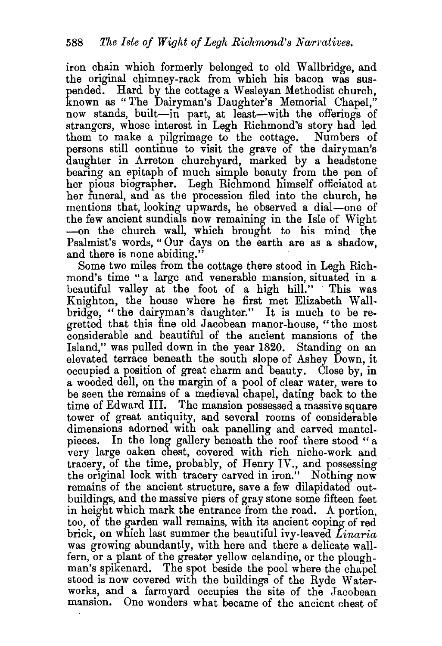iron chain which formerly belonged to old Wallbridge, and the original chimney-rack from which his bacon was suspended. Hard by the cottage a Wesleyan Methodist church, known as " The Dairyman's Daughter's Memorial Chapel," now stands, built-in part, at least-with the offerings of strangers, whose interest in Legh Richmond's story had led them to make a pilgrimage to the cottage. Numbers of persons still continue to visit the grave of the dairyman's daughter in Arreton churchyard, marked by a headstone bearing an epitaph of much simple beauty from the pen of her pious biographer. Legh Richmond himself officiated at her funeral, and as the procession filed into the church, he mentions that, looking upwards, he observed a dial-one of the few ancient sundials now remaining in the Isle of Wight -on the church wall, which brought to his mind the Psalmist's words," Our days on the earth are as a shadow, and there is none abiding."

Some two miles from the cottage there stood in Legh Richmond's time ''a large and venerable mansion, situated in a beautiful valley at the foot of a high hill." This was Knighton, the house where he first met Elizabeth Wallbridge, "the dairyman's daughter." It is much to be regretted that this fine old Jacobean manor-house, "the most considerable and beautiful of the ancient mansions of the Island," was pulled down in the year 1820. Standing on an elevated terrace beneath the south slope of Ashey Down, it occupied a position of great charm and beauty. Close by, in a wooded dell, on the margin of a pool of clear water, were to be seen the remains of a medieval chapel, dating back to the time of Edward III. The mansion possessed a massive square tower of great antiquity, and several rooms of considerable dimensions adorned with oak panelling and carved mantelpieces. In the long gallery beneath the roof there stood " a very large oaken chest, covered with rich niche-work and tracery, of the time, probably, of Henry IV., and possessing the original lock with tracery carved in iron." Nothing now remains of the ancient structure, save a few dilapidated outbuildings, and the massive piers of gray stone some fifteen feet in height which mark the entrance from the road. A portion, too, of the garden wall remains, with its ancient coping of red brick, on which last summer the beautiful ivy-leaved *Linaria*  was growing abundantly, with here and there a delicate wallfern, or a plant of the greater yellow celandine, or the ploughman's spikenard. The spot beside the pool where the chapel stood is now covered with the buildings of the Ryde Waterworks, and a farmyard occupies the site of the Jacobean mansion. One wonders what became of the ancient chest of